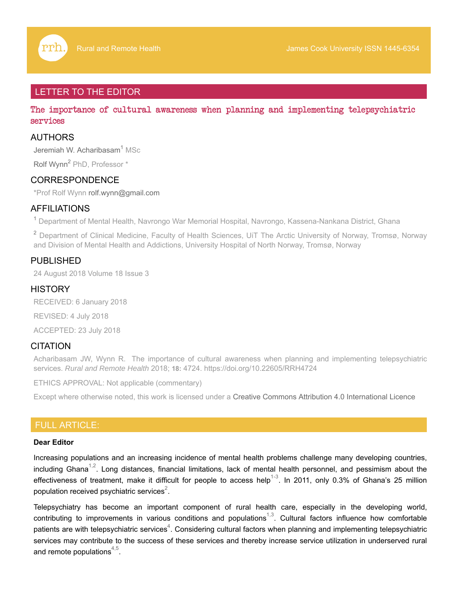# LETTER TO THE EDITOR

The importance of cultural awareness when planning and implementing telepsychiatric services

## AUTHORS

Jeremiah W. Acharibasam<sup>1</sup> MSc

Rolf Wynn<sup>2</sup> PhD, Professor \*

### CORRESPONDENCE

\*Prof Rolf Wynn rolf.wynn@gmail.com

### AFFILIATIONS

<sup>1</sup> Department of Mental Health, Navrongo War Memorial Hospital, Navrongo, Kassena-Nankana District, Ghana

<sup>2</sup> Department of Clinical Medicine, Faculty of Health Sciences, UiT The Arctic University of Norway, Tromsø, Norway and Division of Mental Health and Addictions, University Hospital of North Norway, Tromsø, Norway

### PUBLISHED

24 August 2018 Volume 18 Issue 3

### **HISTORY**

RECEIVED: 6 January 2018

REVISED: 4 July 2018

ACCEPTED: 23 July 2018

### **CITATION**

Acharibasam JW, Wynn R. The importance of cultural awareness when planning and implementing telepsychiatric services. *Rural and Remote Health* 2018; **18:** 4724. https://doi.org/10.22605/RRH4724

ETHICS APPROVAL: Not applicable (commentary)

Except where otherwise noted, this work is licensed under a Creative Commons Attribution 4.0 International Licence

### FULL ARTICLE:

#### **Dear Editor**

Increasing populations and an increasing incidence of mental health problems challenge many developing countries, including Ghana<sup>1,2</sup>. Long distances, financial limitations, lack of mental health personnel, and pessimism about the effectiveness of treatment, make it difficult for people to access help<sup>1-3</sup>. In 2011, only 0.3% of Ghana's 25 million population received psychiatric services $^{\rm 2}.$ 

Telepsychiatry has become an important component of rural health care, especially in the developing world, contributing to improvements in various conditions and populations<sup>1,3</sup>. Cultural factors influence how comfortable patients are with telepsychiatric services $^4$ . Considering cultural factors when planning and implementing telepsychiatric services may contribute to the success of these services and thereby increase service utilization in underserved rural and remote populations $^{4,5}.$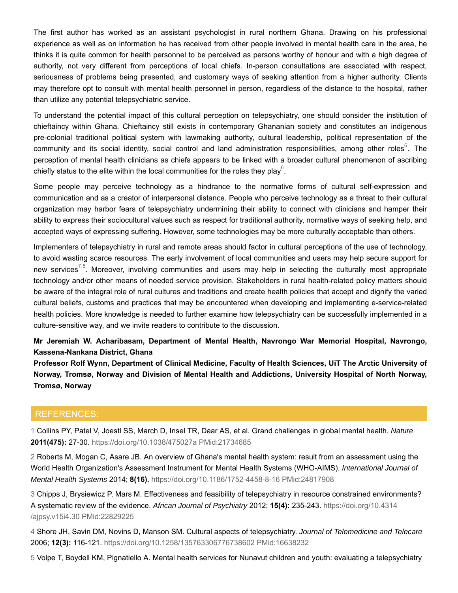The first author has worked as an assistant psychologist in rural northern Ghana. Drawing on his professional experience as well as on information he has received from other people involved in mental health care in the area, he thinks it is quite common for health personnel to be perceived as persons worthy of honour and with a high degree of authority, not very different from perceptions of local chiefs. In-person consultations are associated with respect, seriousness of problems being presented, and customary ways of seeking attention from a higher authority. Clients may therefore opt to consult with mental health personnel in person, regardless of the distance to the hospital, rather than utilize any potential telepsychiatric service.

To understand the potential impact of this cultural perception on telepsychiatry, one should consider the institution of chieftaincy within Ghana. Chieftaincy still exists in contemporary Ghananian society and constitutes an indigenous pre-colonial traditional political system with lawmaking authority, cultural leadership, political representation of the community and its social identity, social control and land administration responsibilities, among other roles $^6$ . The perception of mental health clinicians as chiefs appears to be linked with a broader cultural phenomenon of ascribing chiefly status to the elite within the local communities for the roles they play $^6$ .

Some people may perceive technology as a hindrance to the normative forms of cultural self-expression and communication and as a creator of interpersonal distance. People who perceive technology as a threat to their cultural organization may harbor fears of telepsychiatry undermining their ability to connect with clinicians and hamper their ability to express their sociocultural values such as respect for traditional authority, normative ways of seeking help, and accepted ways of expressing suffering. However, some technologies may be more culturally acceptable than others.

Implementers of telepsychiatry in rural and remote areas should factor in cultural perceptions of the use of technology, to avoid wasting scarce resources. The early involvement of local communities and users may help secure support for new services<sup>7,8</sup>. Moreover, involving communities and users may help in selecting the culturally most appropriate technology and/or other means of needed service provision. Stakeholders in rural health-related policy matters should be aware of the integral role of rural cultures and traditions and create health policies that accept and dignify the varied cultural beliefs, customs and practices that may be encountered when developing and implementing e-service-related health policies. More knowledge is needed to further examine how telepsychiatry can be successfully implemented in a culture-sensitive way, and we invite readers to contribute to the discussion.

**Mr Jeremiah W. Acharibasam, Department of Mental Health, Navrongo War Memorial Hospital, Navrongo, Kassena-Nankana District, Ghana**

**Professor Rolf Wynn, Department of Clinical Medicine, Faculty of Health Sciences, UiT The Arctic University of Norway, Tromsø, Norway and Division of Mental Health and Addictions, University Hospital of North Norway, Tromsø, Norway**

#### REFERENCES:

1 Collins PY, Patel V, Joestl SS, March D, Insel TR, Daar AS, et al. Grand challenges in global mental health. *Nature* **2011(475):** 27-30. https://doi.org/10.1038/475027a PMid:21734685

2 Roberts M, Mogan C, Asare JB. An overview of Ghana's mental health system: result from an assessment using the World Health Organization's Assessment Instrument for Mental Health Systems (WHO-AIMS). *International Journal of Mental Health Systems* 2014; **8(16).** https://doi.org/10.1186/1752-4458-8-16 PMid:24817908

3 Chipps J, Brysiewicz P, Mars M. Effectiveness and feasibility of telepsychiatry in resource constrained environments? A systematic review of the evidence. *African Journal of Psychiatry* 2012; **15(4):** 235-243. https://doi.org/10.4314 /ajpsy.v15i4.30 PMid:22829225

4 Shore JH, Savin DM, Novins D, Manson SM. Cultural aspects of telepsychiatry. *Journal of Telemedicine and Telecare* 2006; **12(3):** 116-121. https://doi.org/10.1258/135763306776738602 PMid:16638232

5 Volpe T, Boydell KM, Pignatiello A. Mental health services for Nunavut children and youth: evaluating a telepsychiatry